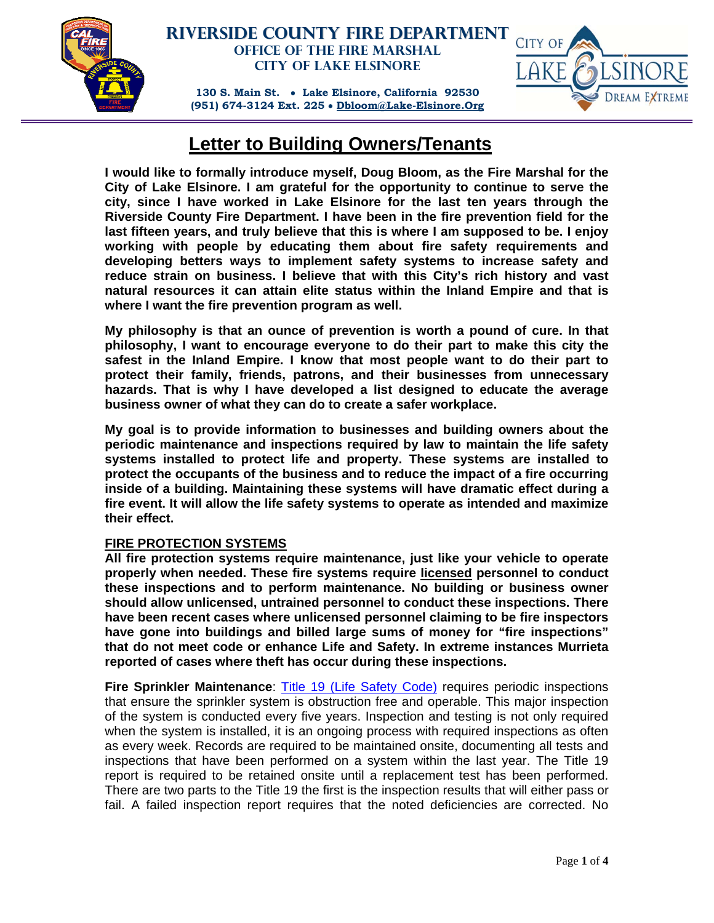

## **Riverside County Fire Department Office of the Fire Marshal City of Lake Elsinore**

**130 S. Main St. Lake Elsinore, California 92530 (951) 674-3124 Ext. 225 Dbloom@Lake-Elsinore.Org**



# **Letter to Building Owners/Tenants**

**I would like to formally introduce myself, Doug Bloom, as the Fire Marshal for the City of Lake Elsinore. I am grateful for the opportunity to continue to serve the city, since I have worked in Lake Elsinore for the last ten years through the Riverside County Fire Department. I have been in the fire prevention field for the last fifteen years, and truly believe that this is where I am supposed to be. I enjoy working with people by educating them about fire safety requirements and developing betters ways to implement safety systems to increase safety and reduce strain on business. I believe that with this City's rich history and vast natural resources it can attain elite status within the Inland Empire and that is where I want the fire prevention program as well.** 

**My philosophy is that an ounce of prevention is worth a pound of cure. In that philosophy, I want to encourage everyone to do their part to make this city the safest in the Inland Empire. I know that most people want to do their part to protect their family, friends, patrons, and their businesses from unnecessary hazards. That is why I have developed a list designed to educate the average business owner of what they can do to create a safer workplace.** 

**My goal is to provide information to businesses and building owners about the periodic maintenance and inspections required by law to maintain the life safety systems installed to protect life and property. These systems are installed to protect the occupants of the business and to reduce the impact of a fire occurring inside of a building. Maintaining these systems will have dramatic effect during a fire event. It will allow the life safety systems to operate as intended and maximize their effect.** 

### **FIRE PROTECTION SYSTEMS**

**All fire protection systems require maintenance, just like your vehicle to operate properly when needed. These fire systems require licensed personnel to conduct these inspections and to perform maintenance. No building or business owner should allow unlicensed, untrained personnel to conduct these inspections. There have been recent cases where unlicensed personnel claiming to be fire inspectors have gone into buildings and billed large sums of money for "fire inspections" that do not meet code or enhance Life and Safety. In extreme instances Murrieta reported of cases where theft has occur during these inspections.** 

**Fire Sprinkler Maintenance**: Title 19 (Life Safety Code) requires periodic inspections that ensure the sprinkler system is obstruction free and operable. This major inspection of the system is conducted every five years. Inspection and testing is not only required when the system is installed, it is an ongoing process with required inspections as often as every week. Records are required to be maintained onsite, documenting all tests and inspections that have been performed on a system within the last year. The Title 19 report is required to be retained onsite until a replacement test has been performed. There are two parts to the Title 19 the first is the inspection results that will either pass or fail. A failed inspection report requires that the noted deficiencies are corrected. No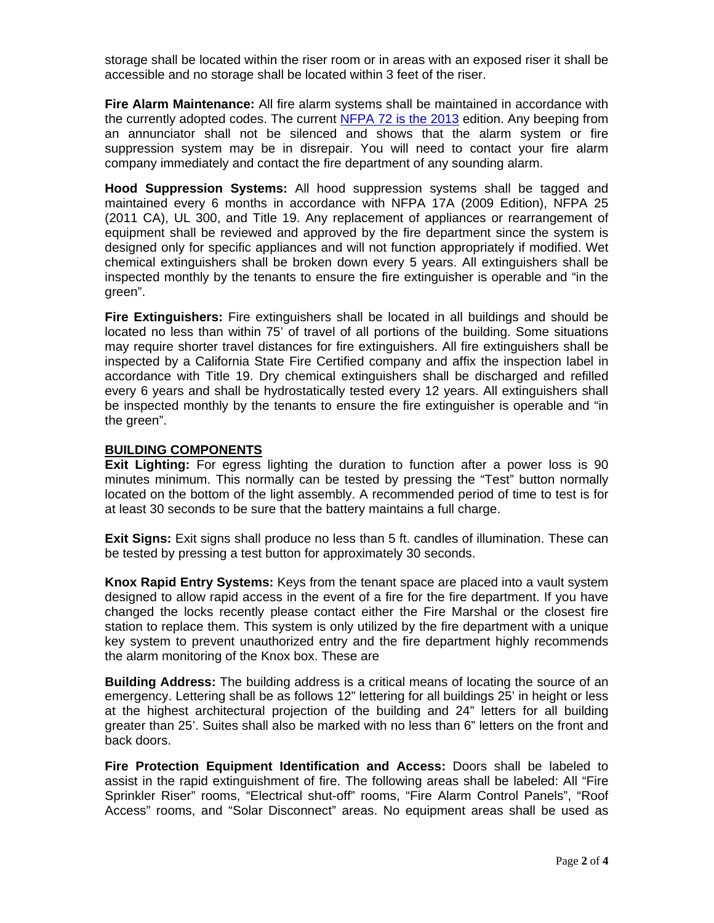storage shall be located within the riser room or in areas with an exposed riser it shall be accessible and no storage shall be located within 3 feet of the riser.

**Fire Alarm Maintenance:** All fire alarm systems shall be maintained in accordance with the currently adopted codes. The current NFPA 72 is the 2013 edition. Any beeping from an annunciator shall not be silenced and shows that the alarm system or fire suppression system may be in disrepair. You will need to contact your fire alarm company immediately and contact the fire department of any sounding alarm.

**Hood Suppression Systems:** All hood suppression systems shall be tagged and maintained every 6 months in accordance with NFPA 17A (2009 Edition), NFPA 25 (2011 CA), UL 300, and Title 19. Any replacement of appliances or rearrangement of equipment shall be reviewed and approved by the fire department since the system is designed only for specific appliances and will not function appropriately if modified. Wet chemical extinguishers shall be broken down every 5 years. All extinguishers shall be inspected monthly by the tenants to ensure the fire extinguisher is operable and "in the green".

**Fire Extinguishers:** Fire extinguishers shall be located in all buildings and should be located no less than within 75' of travel of all portions of the building. Some situations may require shorter travel distances for fire extinguishers. All fire extinguishers shall be inspected by a California State Fire Certified company and affix the inspection label in accordance with Title 19. Dry chemical extinguishers shall be discharged and refilled every 6 years and shall be hydrostatically tested every 12 years. All extinguishers shall be inspected monthly by the tenants to ensure the fire extinguisher is operable and "in the green".

#### **BUILDING COMPONENTS**

**Exit Lighting:** For egress lighting the duration to function after a power loss is 90 minutes minimum. This normally can be tested by pressing the "Test" button normally located on the bottom of the light assembly. A recommended period of time to test is for at least 30 seconds to be sure that the battery maintains a full charge.

**Exit Signs:** Exit signs shall produce no less than 5 ft. candles of illumination. These can be tested by pressing a test button for approximately 30 seconds.

**Knox Rapid Entry Systems:** Keys from the tenant space are placed into a vault system designed to allow rapid access in the event of a fire for the fire department. If you have changed the locks recently please contact either the Fire Marshal or the closest fire station to replace them. This system is only utilized by the fire department with a unique key system to prevent unauthorized entry and the fire department highly recommends the alarm monitoring of the Knox box. These are

**Building Address:** The building address is a critical means of locating the source of an emergency. Lettering shall be as follows 12" lettering for all buildings 25' in height or less at the highest architectural projection of the building and 24" letters for all building greater than 25'. Suites shall also be marked with no less than 6" letters on the front and back doors.

**Fire Protection Equipment Identification and Access:** Doors shall be labeled to assist in the rapid extinguishment of fire. The following areas shall be labeled: All "Fire Sprinkler Riser" rooms, "Electrical shut-off" rooms, "Fire Alarm Control Panels", "Roof Access" rooms, and "Solar Disconnect" areas. No equipment areas shall be used as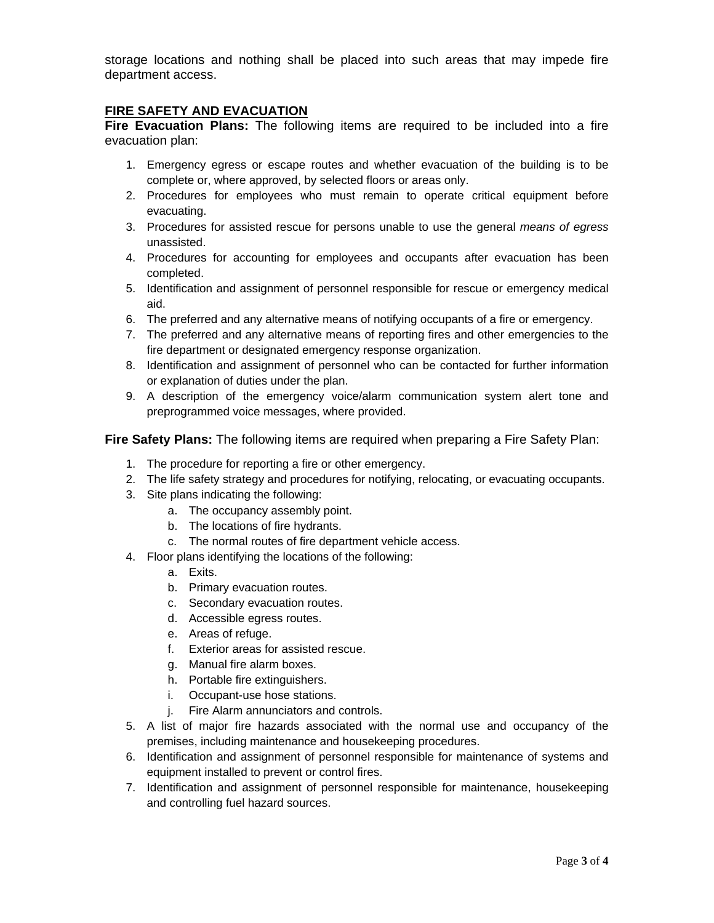storage locations and nothing shall be placed into such areas that may impede fire department access.

#### **FIRE SAFETY AND EVACUATION**

**Fire Evacuation Plans:** The following items are required to be included into a fire evacuation plan:

- 1. Emergency egress or escape routes and whether evacuation of the building is to be complete or, where approved, by selected floors or areas only.
- 2. Procedures for employees who must remain to operate critical equipment before evacuating.
- 3. Procedures for assisted rescue for persons unable to use the general *means of egress* unassisted.
- 4. Procedures for accounting for employees and occupants after evacuation has been completed.
- 5. Identification and assignment of personnel responsible for rescue or emergency medical aid.
- 6. The preferred and any alternative means of notifying occupants of a fire or emergency.
- 7. The preferred and any alternative means of reporting fires and other emergencies to the fire department or designated emergency response organization.
- 8. Identification and assignment of personnel who can be contacted for further information or explanation of duties under the plan.
- 9. A description of the emergency voice/alarm communication system alert tone and preprogrammed voice messages, where provided.

**Fire Safety Plans:** The following items are required when preparing a Fire Safety Plan:

- 1. The procedure for reporting a fire or other emergency.
- 2. The life safety strategy and procedures for notifying, relocating, or evacuating occupants.
- 3. Site plans indicating the following:
	- a. The occupancy assembly point.
	- b. The locations of fire hydrants.
	- c. The normal routes of fire department vehicle access.
- 4. Floor plans identifying the locations of the following:
	- a. Exits.
	- b. Primary evacuation routes.
	- c. Secondary evacuation routes.
	- d. Accessible egress routes.
	- e. Areas of refuge.
	- f. Exterior areas for assisted rescue.
	- g. Manual fire alarm boxes.
	- h. Portable fire extinguishers.
	- i. Occupant-use hose stations.
	- j. Fire Alarm annunciators and controls.
- 5. A list of major fire hazards associated with the normal use and occupancy of the premises, including maintenance and housekeeping procedures.
- 6. Identification and assignment of personnel responsible for maintenance of systems and equipment installed to prevent or control fires.
- 7. Identification and assignment of personnel responsible for maintenance, housekeeping and controlling fuel hazard sources.